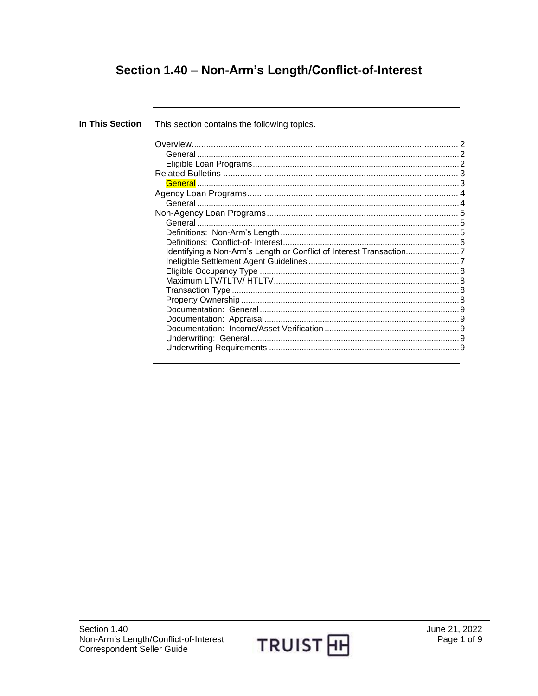# Section 1.40 - Non-Arm's Length/Conflict-of-Interest

| In This Section | This section contains the following topics.                        |  |
|-----------------|--------------------------------------------------------------------|--|
|                 |                                                                    |  |
|                 |                                                                    |  |
|                 |                                                                    |  |
|                 |                                                                    |  |
|                 |                                                                    |  |
|                 |                                                                    |  |
|                 |                                                                    |  |
|                 |                                                                    |  |
|                 |                                                                    |  |
|                 |                                                                    |  |
|                 |                                                                    |  |
|                 | Identifying a Non-Arm's Length or Conflict of Interest Transaction |  |
|                 |                                                                    |  |
|                 |                                                                    |  |
|                 |                                                                    |  |
|                 |                                                                    |  |
|                 |                                                                    |  |
|                 |                                                                    |  |
|                 |                                                                    |  |
|                 |                                                                    |  |
|                 |                                                                    |  |
|                 |                                                                    |  |
|                 |                                                                    |  |

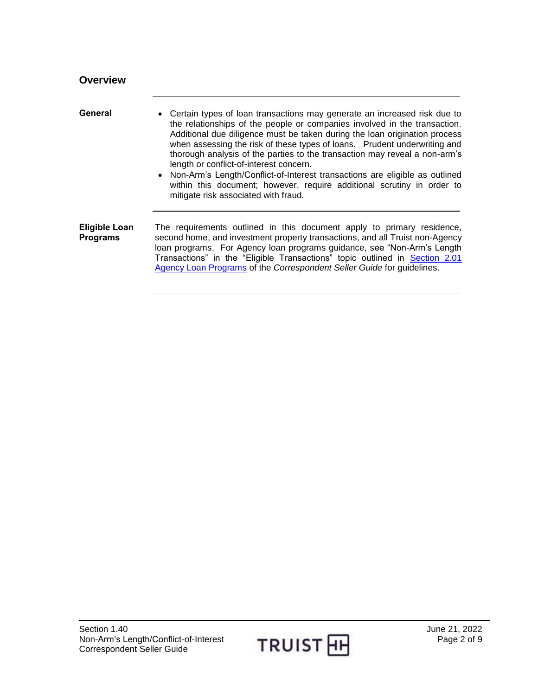<span id="page-1-2"></span><span id="page-1-1"></span><span id="page-1-0"></span>

| <b>Overview</b>                         |                                                                                                                                                                                                                                                                                                                                                                                                                                                                                                                                                                                                                                                |
|-----------------------------------------|------------------------------------------------------------------------------------------------------------------------------------------------------------------------------------------------------------------------------------------------------------------------------------------------------------------------------------------------------------------------------------------------------------------------------------------------------------------------------------------------------------------------------------------------------------------------------------------------------------------------------------------------|
| General                                 | • Certain types of loan transactions may generate an increased risk due to<br>the relationships of the people or companies involved in the transaction.<br>Additional due diligence must be taken during the loan origination process<br>when assessing the risk of these types of loans. Prudent underwriting and<br>thorough analysis of the parties to the transaction may reveal a non-arm's<br>length or conflict-of-interest concern.<br>• Non-Arm's Length/Conflict-of-Interest transactions are eligible as outlined<br>within this document; however, require additional scrutiny in order to<br>mitigate risk associated with fraud. |
| <b>Eligible Loan</b><br><b>Programs</b> | The requirements outlined in this document apply to primary residence,<br>second home, and investment property transactions, and all Truist non-Agency<br>loan programs. For Agency loan programs guidance, see "Non-Arm's Length<br>Transactions" in the "Eligible Transactions" topic outlined in Section 2.01<br>Agency Loan Programs of the Correspondent Seller Guide for guidelines.                                                                                                                                                                                                                                                     |

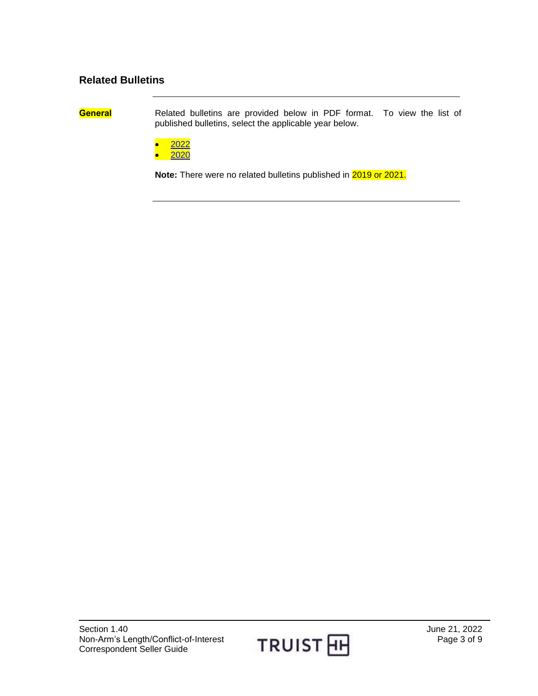#### <span id="page-2-0"></span>**Related Bulletins**

<span id="page-2-1"></span>

**General** Related bulletins are provided below in PDF format. To view the list of published bulletins, select the applicable year below.

[2022](https://truistsellerguide.com/manual/cor/bulletins/Related%20Bulletins/2022/CNonArmsLength2022.pdf)

[2020](http://www.truistsellerguide.com/manual/cor/bulletins/Related%20Bulletins/2020/CNonArmsLength2020.pdf)

**Note:** There were no related bulletins published in 2019 or 2021.

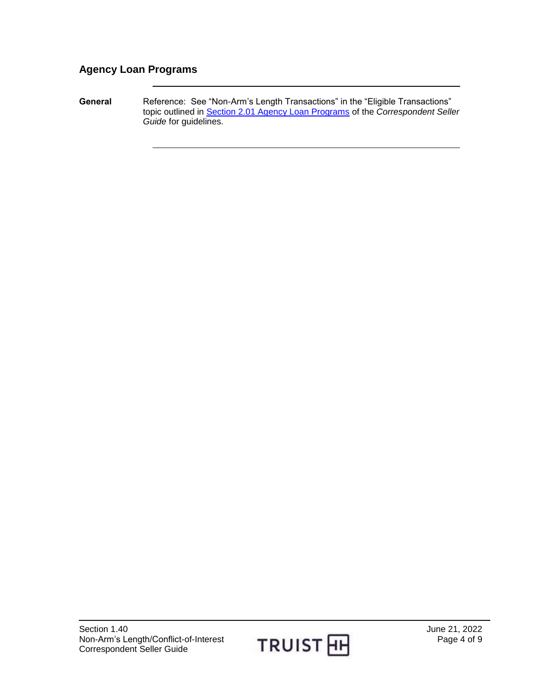### <span id="page-3-0"></span>**Agency Loan Programs**

<span id="page-3-1"></span>General **Reference: See "Non-Arm's Length Transactions"** in the "Eligible Transactions" topic outlined in [Section 2.01 Agency Loan Programs](https://truistsellerguide.com/manual/cor/products/cagency.pdf) of the *Correspondent Seller Guide* for guidelines.

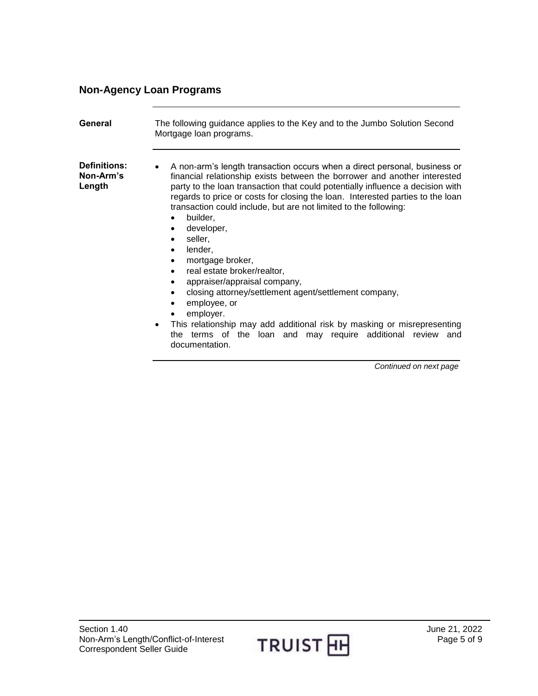### <span id="page-4-0"></span>**Non-Agency Loan Programs**

<span id="page-4-2"></span><span id="page-4-1"></span>

| General                                    | The following guidance applies to the Key and to the Jumbo Solution Second<br>Mortgage loan programs.                                                                                                                                                                                                                                                                                                                                                                                                                                                                                                                                                                                                                                                                                                                                                                                          |
|--------------------------------------------|------------------------------------------------------------------------------------------------------------------------------------------------------------------------------------------------------------------------------------------------------------------------------------------------------------------------------------------------------------------------------------------------------------------------------------------------------------------------------------------------------------------------------------------------------------------------------------------------------------------------------------------------------------------------------------------------------------------------------------------------------------------------------------------------------------------------------------------------------------------------------------------------|
| <b>Definitions:</b><br>Non-Arm's<br>Length | A non-arm's length transaction occurs when a direct personal, business or<br>financial relationship exists between the borrower and another interested<br>party to the loan transaction that could potentially influence a decision with<br>regards to price or costs for closing the loan. Interested parties to the loan<br>transaction could include, but are not limited to the following:<br>builder,<br>$\bullet$<br>developer,<br>$\bullet$<br>seller,<br>$\bullet$<br>lender,<br>$\bullet$<br>mortgage broker,<br>$\bullet$<br>real estate broker/realtor,<br>appraiser/appraisal company,<br>$\bullet$<br>closing attorney/settlement agent/settlement company,<br>$\bullet$<br>employee, or<br>$\bullet$<br>employer.<br>This relationship may add additional risk by masking or misrepresenting<br>the terms of the loan and may require additional review<br>and<br>documentation. |

*Continued on next page*

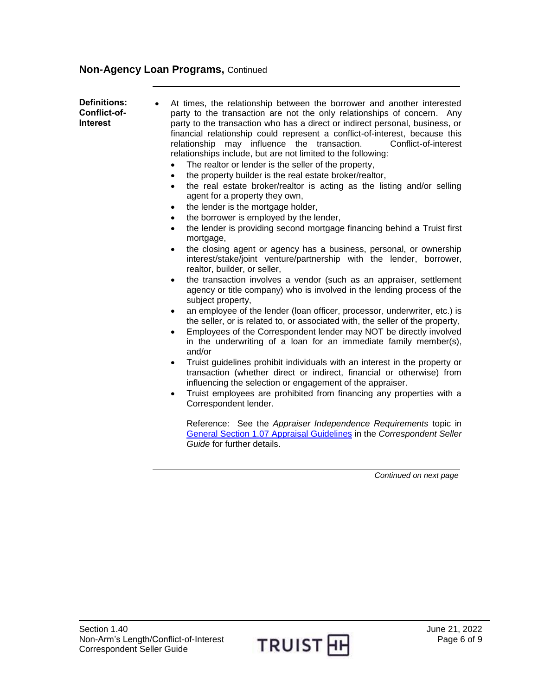<span id="page-5-0"></span>**Definitions: Conflict-of-Interest** At times, the relationship between the borrower and another interested party to the transaction are not the only relationships of concern. Any party to the transaction who has a direct or indirect personal, business, or financial relationship could represent a conflict-of-interest, because this relationship may influence the transaction. Conflict-of-interest relationships include, but are not limited to the following: The realtor or lender is the seller of the property, the property builder is the real estate broker/realtor, the real estate broker/realtor is acting as the listing and/or selling agent for a property they own, the lender is the mortgage holder, the borrower is employed by the lender, • the lender is providing second mortgage financing behind a Truist first mortgage. the closing agent or agency has a business, personal, or ownership interest/stake/joint venture/partnership with the lender, borrower, realtor, builder, or seller, • the transaction involves a vendor (such as an appraiser, settlement agency or title company) who is involved in the lending process of the subject property, an employee of the lender (loan officer, processor, underwriter, etc.) is the seller, or is related to, or associated with, the seller of the property, Employees of the Correspondent lender may NOT be directly involved in the underwriting of a loan for an immediate family member(s), and/or Truist guidelines prohibit individuals with an interest in the property or transaction (whether direct or indirect, financial or otherwise) from influencing the selection or engagement of the appraiser. Truist employees are prohibited from financing any properties with a Correspondent lender. Reference: See the *Appraiser Independence Requirements* topic in [General Section 1.07 Appraisal Guidelines](https://truistsellerguide.com/manual/cor/general/1.07appraisals.pdf) in the *Correspondent Seller Guide* for further details.

*Continued on next page*

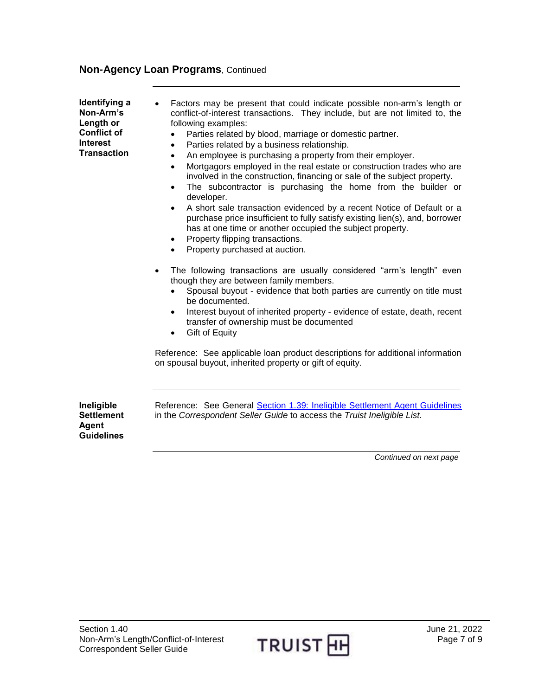<span id="page-6-0"></span>**Identifying a Non-Arm's Length or Conflict of Interest Transaction**

- Factors may be present that could indicate possible non-arm's length or conflict-of-interest transactions. They include, but are not limited to, the following examples:
	- Parties related by blood, marriage or domestic partner.
	- Parties related by a business relationship.
	- An employee is purchasing a property from their employer.
	- Mortgagors employed in the real estate or construction trades who are involved in the construction, financing or sale of the subject property.
	- The subcontractor is purchasing the home from the builder or developer.
	- A short sale transaction evidenced by a recent Notice of Default or a purchase price insufficient to fully satisfy existing lien(s), and, borrower has at one time or another occupied the subject property.
	- Property flipping transactions.
	- Property purchased at auction.
- The following transactions are usually considered "arm's length" even though they are between family members.
	- Spousal buyout evidence that both parties are currently on title must be documented.
	- Interest buyout of inherited property evidence of estate, death, recent transfer of ownership must be documented
	- Gift of Equity

Reference: See applicable loan product descriptions for additional information on spousal buyout, inherited property or gift of equity.

<span id="page-6-1"></span>**Ineligible Settlement Agent Guidelines** 

Reference: See General Section 1.39: [Ineligible Settlement Agent Guidelines](https://truistsellerguide.com/manual/cor/general/1.39ineligiblesettlementagentguidelines.pdf)  in the *Correspondent Seller Guide* to access the *Truist Ineligible List.*

*Continued on next page*

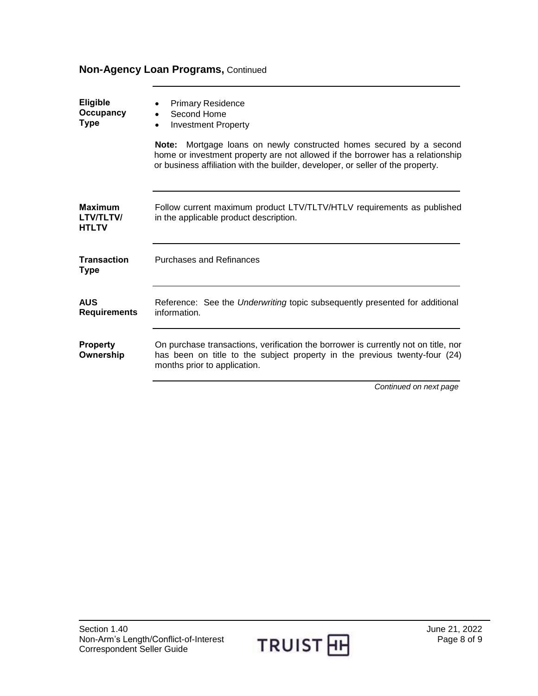<span id="page-7-3"></span><span id="page-7-2"></span><span id="page-7-1"></span><span id="page-7-0"></span>

| Eligible<br>Occupancy<br><b>Type</b>        | <b>Primary Residence</b><br>Second Home<br><b>Investment Property</b>                                                                                                                                                                           |
|---------------------------------------------|-------------------------------------------------------------------------------------------------------------------------------------------------------------------------------------------------------------------------------------------------|
|                                             | <b>Note:</b> Mortgage loans on newly constructed homes secured by a second<br>home or investment property are not allowed if the borrower has a relationship<br>or business affiliation with the builder, developer, or seller of the property. |
| Maximum<br><b>LTV/TLTV/</b><br><b>HTLTV</b> | Follow current maximum product LTV/TLTV/HTLV requirements as published<br>in the applicable product description.                                                                                                                                |
| <b>Transaction</b><br><b>Type</b>           | <b>Purchases and Refinances</b>                                                                                                                                                                                                                 |
| <b>AUS</b><br><b>Requirements</b>           | Reference: See the Underwriting topic subsequently presented for additional<br>information.                                                                                                                                                     |
| <b>Property</b><br>Ownership                | On purchase transactions, verification the borrower is currently not on title, nor<br>has been on title to the subject property in the previous twenty-four (24)<br>months prior to application.                                                |
|                                             | Continued on next page                                                                                                                                                                                                                          |